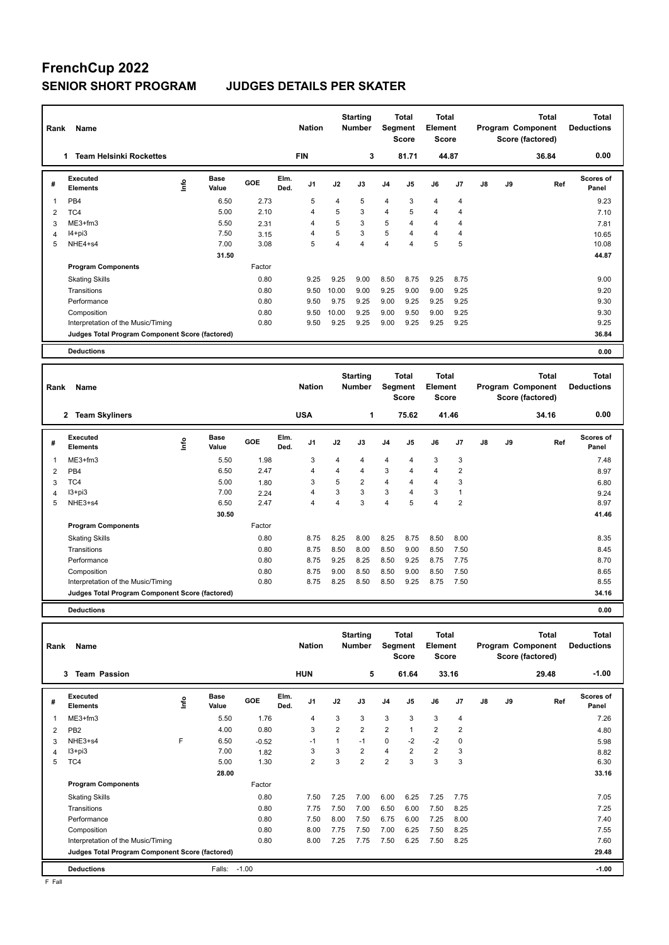# **FrenchCup 2022**

### **SENIOR SHORT PROGRAM JUDGES DETAILS PER SKATER**

| Rank           | Name                                            |                              |        |              | <b>Nation</b>  |                | <b>Starting</b><br><b>Number</b> |                | <b>Total</b><br>Segment<br><b>Score</b> | <b>Total</b><br>Element<br><b>Score</b> |                |               |    | <b>Total</b><br>Program Component<br>Score (factored) | <b>Total</b><br><b>Deductions</b> |
|----------------|-------------------------------------------------|------------------------------|--------|--------------|----------------|----------------|----------------------------------|----------------|-----------------------------------------|-----------------------------------------|----------------|---------------|----|-------------------------------------------------------|-----------------------------------|
|                | <b>Team Helsinki Rockettes</b><br>1.            |                              |        |              | <b>FIN</b>     |                | 3                                |                | 81.71                                   | 44.87                                   |                |               |    | 36.84                                                 | 0.00                              |
| #              | <b>Executed</b><br><b>Elements</b>              | <b>Base</b><br>١rfo<br>Value | GOE    | Elm.<br>Ded. | J <sub>1</sub> | J2             | J3                               | J4             | J <sub>5</sub>                          | J6                                      | J <sub>7</sub> | J8            | J9 | Ref                                                   | Scores of<br>Panel                |
| 1              | PB <sub>4</sub>                                 | 6.50                         | 2.73   |              | 5              | 4              | 5                                | 4              | 3                                       | $\overline{4}$                          | 4              |               |    |                                                       | 9.23                              |
| $\overline{2}$ | TC4                                             | 5.00                         | 2.10   |              | 4              | 5              | 3                                | 4              | 5                                       | $\overline{4}$                          | 4              |               |    |                                                       | 7.10                              |
| 3              | $ME3+fm3$                                       | 5.50                         | 2.31   |              | 4              | 5              | 3                                | 5              | $\overline{4}$                          | $\overline{4}$                          | 4              |               |    |                                                       | 7.81                              |
| $\overline{4}$ | $I4 + pi3$                                      | 7.50                         | 3.15   |              | $\overline{4}$ | 5              | 3                                | 5              | $\overline{4}$                          | $\overline{4}$                          | 4              |               |    |                                                       | 10.65                             |
| 5              | NHE4+s4                                         | 7.00                         | 3.08   |              | 5              | 4              | 4                                | 4              | $\overline{4}$                          | 5                                       | 5              |               |    |                                                       | 10.08                             |
|                |                                                 | 31.50                        |        |              |                |                |                                  |                |                                         |                                         |                |               |    |                                                       | 44.87                             |
|                | <b>Program Components</b>                       |                              | Factor |              |                |                |                                  |                |                                         |                                         |                |               |    |                                                       |                                   |
|                | <b>Skating Skills</b>                           |                              | 0.80   |              | 9.25           | 9.25           | 9.00                             | 8.50           | 8.75                                    | 9.25                                    | 8.75           |               |    |                                                       | 9.00                              |
|                | Transitions                                     |                              | 0.80   |              | 9.50           | 10.00          | 9.00                             | 9.25           | 9.00                                    | 9.00                                    | 9.25           |               |    |                                                       | 9.20                              |
|                | Performance                                     |                              | 0.80   |              | 9.50           | 9.75           | 9.25                             | 9.00           | 9.25                                    | 9.25                                    | 9.25           |               |    |                                                       | 9.30                              |
|                | Composition                                     |                              | 0.80   |              | 9.50           | 10.00          | 9.25                             | 9.00           | 9.50                                    | 9.00                                    | 9.25           |               |    |                                                       | 9.30                              |
|                | Interpretation of the Music/Timing              |                              | 0.80   |              | 9.50           | 9.25           | 9.25                             | 9.00           | 9.25                                    | 9.25                                    | 9.25           |               |    |                                                       | 9.25                              |
|                | Judges Total Program Component Score (factored) |                              |        |              |                |                |                                  |                |                                         |                                         |                |               |    |                                                       | 36.84                             |
|                | <b>Deductions</b>                               |                              |        |              |                |                |                                  |                |                                         |                                         |                |               |    |                                                       | 0.00                              |
| Rank           | Name                                            |                              |        |              | <b>Nation</b>  |                | <b>Starting</b><br><b>Number</b> | Segment        | <b>Total</b><br><b>Score</b>            | <b>Total</b><br>Element<br><b>Score</b> |                |               |    | <b>Total</b><br>Program Component<br>Score (factored) | <b>Total</b><br><b>Deductions</b> |
|                | 2 Team Skyliners                                |                              |        |              | <b>USA</b>     |                | 1                                |                | 75.62                                   |                                         | 41.46          |               |    | 34.16                                                 | 0.00                              |
| #              | <b>Executed</b><br><b>Elements</b>              | Base<br>۴ů<br>Value          | GOE    | Elm.<br>Ded. | J <sub>1</sub> | J2             | J3                               | J <sub>4</sub> | J <sub>5</sub>                          | J6                                      | J <sub>7</sub> | $\mathsf{J}8$ | J9 | Ref                                                   | Scores of<br>Panel                |
| 1              | $ME3+fm3$                                       | 5.50                         | 1.98   |              | 3              | $\overline{4}$ | 4                                | 4              | $\overline{4}$                          | 3                                       | 3              |               |    |                                                       | 7.48                              |
| 2              | PB <sub>4</sub>                                 | 6.50                         | 2.47   |              | $\overline{4}$ | 4              | $\overline{\mathbf{4}}$          | 3              | $\overline{4}$                          | $\overline{4}$                          | $\overline{2}$ |               |    |                                                       | 8.97                              |

|    | <b>Deductions</b>                               |       |        |      |      |                |      |      |      |      |       | 0.00 |
|----|-------------------------------------------------|-------|--------|------|------|----------------|------|------|------|------|-------|------|
|    | Judges Total Program Component Score (factored) |       |        |      |      |                |      |      |      |      | 34.16 |      |
|    | Interpretation of the Music/Timing              |       | 0.80   | 8.75 | 8.25 | 8.50           | 8.50 | 9.25 | 8.75 | 7.50 | 8.55  |      |
|    | Composition                                     |       | 0.80   | 8.75 | 9.00 | 8.50           | 8.50 | 9.00 | 8.50 | 7.50 | 8.65  |      |
|    | Performance                                     |       | 0.80   | 8.75 | 9.25 | 8.25           | 8.50 | 9.25 | 8.75 | 7.75 | 8.70  |      |
|    | Transitions                                     |       | 0.80   | 8.75 | 8.50 | 8.00           | 8.50 | 9.00 | 8.50 | 7.50 | 8.45  |      |
|    | <b>Skating Skills</b>                           |       | 0.80   | 8.75 | 8.25 | 8.00           | 8.25 | 8.75 | 8.50 | 8.00 | 8.35  |      |
|    | <b>Program Components</b>                       |       | Factor |      |      |                |      |      |      |      |       |      |
|    |                                                 | 30.50 |        |      |      |                |      |      |      |      | 41.46 |      |
| 5. | NHE3+s4                                         | 6.50  | 2.47   | 4    | 4    | 3              | 4    | 5    | 4    | 2    | 8.97  |      |
| 4  | $13 + pi3$                                      | 7.00  | 2.24   | 4    | 3    | 3              | 3    | 4    | 3    |      | 9.24  |      |
| 3  | TC4                                             | 5.00  | 1.80   | 3    | 5    | $\overline{2}$ | 4    | 4    | 4    | 3    | 6.80  |      |
| 2  | PB <sub>4</sub>                                 | 6.50  | 2.47   | 4    | 4    | 4              | 3    | 4    | 4    | 2    | 8.97  |      |
|    | ME3+IM3                                         | ່ວ.ວບ | 1.98   | - 3  | 4    | 4              | 4    | 4    | ۰J.  | 5    |       | 7.48 |

**Total Deductions Total Program Component Score (factored) Total Element Score Total Segment Score Starting Rank Name Nation Number # Executed Elements Base Value GOE J1 J2 J3 J4 J5 J6 J7 J8 J9 Scores of Panel** 1 5.50 1.76 4 3 3 3 3 3 4 **Ref**  7.26 **Elm. Ded.**  ME3+fm3 **Info 3 Team Passion HUN 5 61.64 33.16 29.48 -1.00** 2 PB2 4.00 0.80 3 2 2 2 1 2 2 4.80 3 NHE3+s4 F 6.50 -0.52 -1 1 -1 0 -2 -2 0 5.98 4 I3+pi3 7.00 1.82 3 3 2 4 2 2 3 8.82 5 TC4 5.00 1.30 2 3 2 2 3 3 3 6.30  **28.00 33.16 Program Components**  Skating Skills 7.50 7.25 7.00 6.00 6.25 7.25 7.75 Factor 0.80 7.50 7.25 7.00 6.00 6.25 7.25 7.75 7.05 7.05 Transitions 0.80 7.75 7.50 7.00 6.50 6.00 7.50 8.25 7.25 Performance 0.80 7.50 8.00 7.50 6.75 6.00 7.25 8.00 7.40 Composition 0.80 8.00 7.75 7.50 7.00 6.25 7.50 8.25 7.55 Interpretation of the Music/Timing 0.80 8.00 7.25 7.75 7.50 6.25 7.50 8.25 7.60 7.60 **Deductions** Falls: -1.00 **-1.00 Judges Total Program Component Score (factored) 29.48**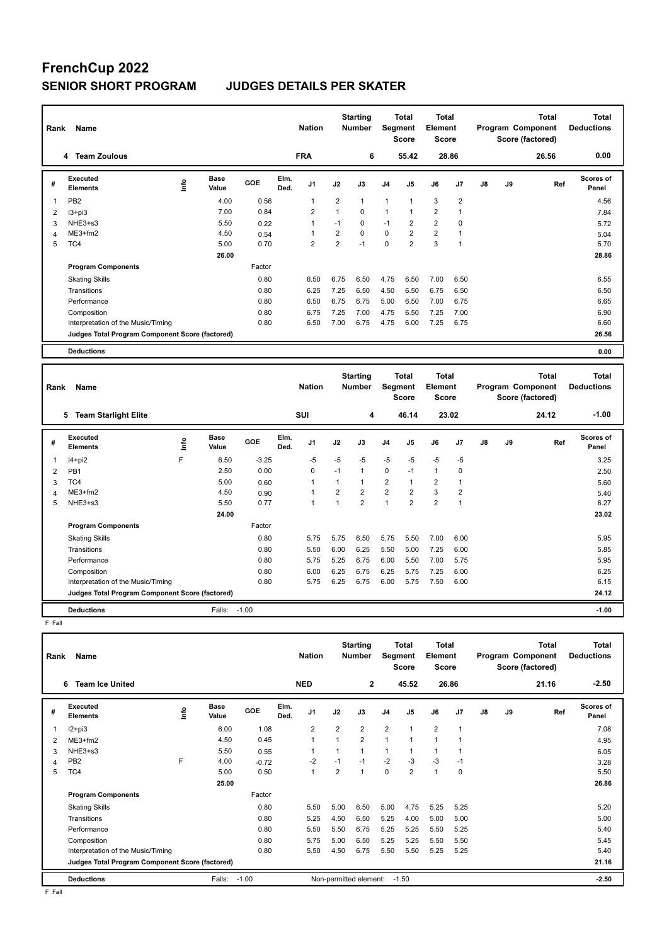## **FrenchCup 2022 SENIOR SHORT PROGRAM JUDGES DETAILS PER SKATER**

| Rank | Name                                            |                       |        | <b>Nation</b>                  |                | <b>Starting</b><br><b>Number</b> |                | <b>Total</b><br>Segment<br><b>Score</b> | Total<br>Element<br><b>Score</b> |                |               |    | <b>Total</b><br>Program Component<br>Score (factored) | <b>Total</b><br><b>Deductions</b> |
|------|-------------------------------------------------|-----------------------|--------|--------------------------------|----------------|----------------------------------|----------------|-----------------------------------------|----------------------------------|----------------|---------------|----|-------------------------------------------------------|-----------------------------------|
|      | <b>Team Zoulous</b><br>4                        |                       |        | <b>FRA</b>                     |                | 6                                |                | 55.42                                   |                                  | 28.86          |               |    | 26.56                                                 | 0.00                              |
| #    | Executed<br><b>Elements</b>                     | Base<br>Info<br>Value | GOE    | Elm.<br>J <sub>1</sub><br>Ded. | J2             | J3                               | J <sub>4</sub> | J <sub>5</sub>                          | J6                               | J7             | $\mathsf{J}8$ | J9 | Ref                                                   | Scores of<br>Panel                |
| 1    | PB <sub>2</sub>                                 | 4.00                  | 0.56   | 1                              | $\overline{2}$ | $\mathbf{1}$                     | $\mathbf{1}$   | $\overline{1}$                          | 3                                | $\overline{2}$ |               |    |                                                       | 4.56                              |
| 2    | $13 + pi3$                                      | 7.00                  | 0.84   | $\overline{2}$                 | $\mathbf{1}$   | $\mathbf 0$                      | 1              | 1                                       | $\overline{2}$                   |                |               |    |                                                       | 7.84                              |
| 3    | NHE3+s3                                         | 5.50                  | 0.22   | 1                              | $-1$           | 0                                | $-1$           | 2                                       | $\overline{2}$                   | 0              |               |    |                                                       | 5.72                              |
| 4    | $ME3+fm2$                                       | 4.50                  | 0.54   | 1                              | $\overline{2}$ | $\Omega$                         | $\Omega$       | $\overline{2}$                          | $\overline{2}$                   |                |               |    |                                                       | 5.04                              |
| 5    | TC4                                             | 5.00                  | 0.70   | $\overline{2}$                 | $\overline{2}$ | $-1$                             | $\mathbf 0$    | $\overline{2}$                          | 3                                | 1              |               |    |                                                       | 5.70                              |
|      |                                                 | 26.00                 |        |                                |                |                                  |                |                                         |                                  |                |               |    |                                                       | 28.86                             |
|      | <b>Program Components</b>                       |                       | Factor |                                |                |                                  |                |                                         |                                  |                |               |    |                                                       |                                   |
|      | <b>Skating Skills</b>                           |                       | 0.80   | 6.50                           | 6.75           | 6.50                             | 4.75           | 6.50                                    | 7.00                             | 6.50           |               |    |                                                       | 6.55                              |
|      | Transitions                                     |                       | 0.80   | 6.25                           | 7.25           | 6.50                             | 4.50           | 6.50                                    | 6.75                             | 6.50           |               |    |                                                       | 6.50                              |
|      | Performance                                     |                       | 0.80   | 6.50                           | 6.75           | 6.75                             | 5.00           | 6.50                                    | 7.00                             | 6.75           |               |    |                                                       | 6.65                              |
|      | Composition                                     |                       | 0.80   | 6.75                           | 7.25           | 7.00                             | 4.75           | 6.50                                    | 7.25                             | 7.00           |               |    |                                                       | 6.90                              |
|      | Interpretation of the Music/Timing              |                       | 0.80   | 6.50                           | 7.00           | 6.75                             | 4.75           | 6.00                                    | 7.25                             | 6.75           |               |    |                                                       | 6.60                              |
|      | Judges Total Program Component Score (factored) |                       |        |                                |                |                                  |                |                                         |                                  |                |               |    |                                                       | 26.56                             |
|      | <b>Deductions</b>                               |                       |        |                                |                |                                  |                |                                         |                                  |                |               |    |                                                       | 0.00                              |
|      |                                                 |                       |        |                                |                | <b>Starting</b>                  |                | <b>Total</b>                            | Total                            |                |               |    | <b>Total</b>                                          | <b>Total</b>                      |
| Rank | Name                                            |                       |        | <b>Nation</b>                  |                | <b>Number</b>                    |                | Segment                                 | Element                          |                |               |    | Program Component<br>.                                | <b>Deductions</b>                 |

| <b>Rank</b> | name                                            |   |               |            |              | ivation        |                | <b>NUTTING</b> |                | әедінені<br>Score | <b>Element</b><br>Score |                |               |    | <b>Program Component</b><br>Score (factored) | Deuuctions                |  |
|-------------|-------------------------------------------------|---|---------------|------------|--------------|----------------|----------------|----------------|----------------|-------------------|-------------------------|----------------|---------------|----|----------------------------------------------|---------------------------|--|
|             | <b>Team Starlight Elite</b><br>5                |   |               |            |              | SUI            |                | 4              |                | 46.14             |                         | 23.02          |               |    | 24.12                                        | $-1.00$                   |  |
| #           | <b>Executed</b><br><b>Elements</b>              | ۴ | Base<br>Value | <b>GOE</b> | Elm.<br>Ded. | J <sub>1</sub> | J2             | J3             | J <sub>4</sub> | J5                | J6                      | J7             | $\mathsf{J}8$ | J9 | Ref                                          | <b>Scores of</b><br>Panel |  |
|             | $14 + pi2$                                      | F | 6.50          | $-3.25$    |              | $-5$           | $-5$           | $-5$           | $-5$           | $-5$              | $-5$                    | $-5$           |               |    |                                              | 3.25                      |  |
| 2           | PB <sub>1</sub>                                 |   | 2.50          | 0.00       |              | 0              | $-1$           |                | 0              | $-1$              | 1                       | 0              |               |    |                                              | 2.50                      |  |
| 3           | TC4                                             |   | 5.00          | 0.60       |              | 1              | 1              |                | $\overline{2}$ | 1                 | 2                       |                |               |    |                                              | 5.60                      |  |
| 4           | $ME3+fm2$                                       |   | 4.50          | 0.90       |              | 1              | $\overline{2}$ | $\overline{2}$ | 2              | $\overline{2}$    | 3                       | $\overline{2}$ |               |    |                                              | 5.40                      |  |
| 5           | NHE3+s3                                         |   | 5.50          | 0.77       |              | 1              | 1              | $\overline{2}$ | $\mathbf{1}$   | $\overline{2}$    | $\overline{2}$          | 1              |               |    |                                              | 6.27                      |  |
|             |                                                 |   | 24.00         |            |              |                |                |                |                |                   |                         |                |               |    |                                              | 23.02                     |  |
|             | <b>Program Components</b>                       |   |               | Factor     |              |                |                |                |                |                   |                         |                |               |    |                                              |                           |  |
|             | <b>Skating Skills</b>                           |   |               | 0.80       |              | 5.75           | 5.75           | 6.50           | 5.75           | 5.50              | 7.00                    | 6.00           |               |    |                                              | 5.95                      |  |
|             | Transitions                                     |   |               | 0.80       |              | 5.50           | 6.00           | 6.25           | 5.50           | 5.00              | 7.25                    | 6.00           |               |    |                                              | 5.85                      |  |
|             | Performance                                     |   |               | 0.80       |              | 5.75           | 5.25           | 6.75           | 6.00           | 5.50              | 7.00                    | 5.75           |               |    |                                              | 5.95                      |  |
|             | Composition                                     |   |               | 0.80       |              | 6.00           | 6.25           | 6.75           | 6.25           | 5.75              | 7.25                    | 6.00           |               |    |                                              | 6.25                      |  |
|             | Interpretation of the Music/Timing              |   |               | 0.80       |              | 5.75           | 6.25           | 6.75           | 6.00           | 5.75              | 7.50                    | 6.00           |               |    |                                              | 6.15                      |  |
|             | Judges Total Program Component Score (factored) |   |               |            |              |                |                |                |                |                   |                         |                |               |    |                                              | 24.12                     |  |
|             | <b>Deductions</b>                               |   | Falls:        | $-1.00$    |              |                |                |                |                |                   |                         |                |               |    |                                              | $-1.00$                   |  |

F Fall

| Name<br>Rank |                                                 |   |                      |            |              | <b>Nation</b>  |                | <b>Starting</b><br><b>Number</b> |                | Total<br>Segment<br><b>Score</b> |                | <b>Total</b><br>Element<br><b>Score</b> | <b>Total</b><br>Program Component<br>Score (factored) |    |       | <b>Total</b><br><b>Deductions</b> |  |
|--------------|-------------------------------------------------|---|----------------------|------------|--------------|----------------|----------------|----------------------------------|----------------|----------------------------------|----------------|-----------------------------------------|-------------------------------------------------------|----|-------|-----------------------------------|--|
|              | <b>Team Ice United</b><br>6                     |   |                      |            |              | <b>NED</b>     |                | $\mathbf{2}$                     |                | 45.52                            |                | 26.86                                   |                                                       |    | 21.16 | $-2.50$                           |  |
| #            | Executed<br><b>Elements</b>                     | ۴ | <b>Base</b><br>Value | <b>GOE</b> | Elm.<br>Ded. | J <sub>1</sub> | J2             | J3                               | J <sub>4</sub> | J5                               | J6             | J <sub>7</sub>                          | $\mathsf{J}8$                                         | J9 | Ref   | Scores of<br>Panel                |  |
|              | $I2 + pi3$                                      |   | 6.00                 | 1.08       |              | $\overline{2}$ | $\overline{2}$ | $\overline{2}$                   | $\overline{2}$ | $\overline{1}$                   | $\overline{2}$ | 1                                       |                                                       |    |       | 7.08                              |  |
| 2            | $ME3+fm2$                                       |   | 4.50                 | 0.45       |              | 1              | $\mathbf{1}$   | $\overline{2}$                   | $\mathbf{1}$   | 1                                | $\mathbf{1}$   |                                         |                                                       |    |       | 4.95                              |  |
| 3            | NHE3+s3                                         |   | 5.50                 | 0.55       |              |                | $\mathbf{1}$   | $\mathbf{1}$                     | $\mathbf{1}$   | 1                                | 1              |                                         |                                                       |    |       | 6.05                              |  |
| 4            | PB <sub>2</sub>                                 | F | 4.00                 | $-0.72$    |              | $-2$           | $-1$           | $-1$                             | $-2$           | $-3$                             | $-3$           | $-1$                                    |                                                       |    |       | 3.28                              |  |
| 5            | TC4                                             |   | 5.00                 | 0.50       |              | 1              | $\overline{2}$ | $\mathbf{1}$                     | 0              | $\overline{2}$                   | $\mathbf{1}$   | 0                                       |                                                       |    |       | 5.50                              |  |
|              |                                                 |   | 25.00                |            |              |                |                |                                  |                |                                  |                |                                         |                                                       |    |       | 26.86                             |  |
|              | <b>Program Components</b>                       |   |                      | Factor     |              |                |                |                                  |                |                                  |                |                                         |                                                       |    |       |                                   |  |
|              | <b>Skating Skills</b>                           |   |                      | 0.80       |              | 5.50           | 5.00           | 6.50                             | 5.00           | 4.75                             | 5.25           | 5.25                                    |                                                       |    |       | 5.20                              |  |
|              | Transitions                                     |   |                      | 0.80       |              | 5.25           | 4.50           | 6.50                             | 5.25           | 4.00                             | 5.00           | 5.00                                    |                                                       |    |       | 5.00                              |  |
|              | Performance                                     |   |                      | 0.80       |              | 5.50           | 5.50           | 6.75                             | 5.25           | 5.25                             | 5.50           | 5.25                                    |                                                       |    |       | 5.40                              |  |
|              | Composition                                     |   |                      | 0.80       |              | 5.75           | 5.00           | 6.50                             | 5.25           | 5.25                             | 5.50           | 5.50                                    |                                                       |    |       | 5.45                              |  |
|              | Interpretation of the Music/Timing              |   |                      | 0.80       |              | 5.50           | 4.50           | 6.75                             | 5.50           | 5.50                             | 5.25           | 5.25                                    |                                                       |    |       | 5.40                              |  |
|              | Judges Total Program Component Score (factored) |   |                      |            |              |                |                |                                  |                |                                  |                |                                         |                                                       |    |       | 21.16                             |  |
|              | <b>Deductions</b>                               |   | Falls:               | $-1.00$    |              |                |                | Non-permitted element:           |                | $-1.50$                          |                |                                         |                                                       |    |       | $-2.50$                           |  |